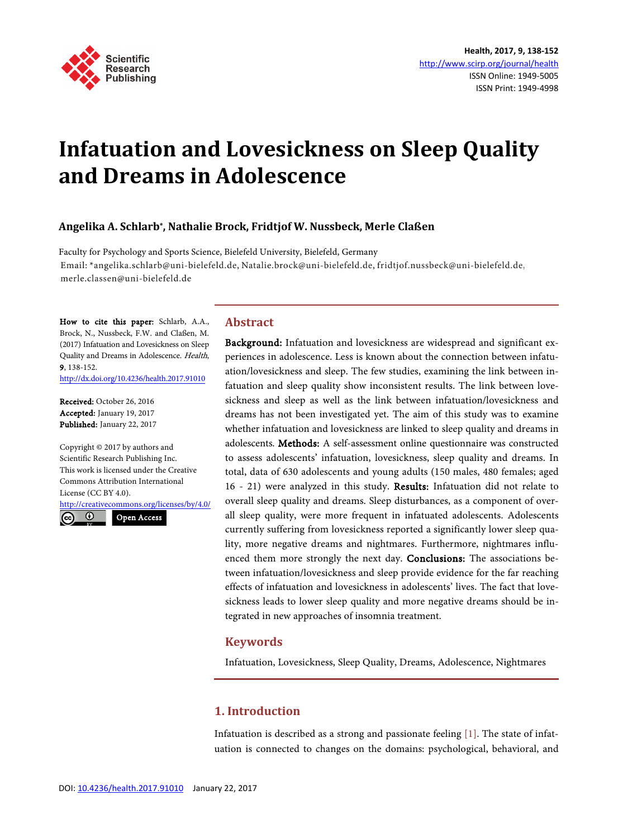

# **Infatuation and Lovesickness on Sleep Quality and Dreams in Adolescence**

## **Angelika A. Schlarb\*, Nathalie Brock, Fridtjof W. Nussbeck, Merle Claßen**

Faculty for Psychology and Sports Science, Bielefeld University, Bielefeld, Germany Email: \*angelika.schlarb@uni-bielefeld.de, Natalie.brock@uni-bielefeld.de, fridtjof.nussbeck@uni-bielefeld.de, merle.classen@uni-bielefeld.de

How to cite this paper: Schlarb, A.A., Brock, N., Nussbeck, F.W. and Claßen, M. (2017) Infatuation and Lovesickness on Sleep Quality and Dreams in Adolescence. Health, 9, 138-152.

<http://dx.doi.org/10.4236/health.2017.91010>

Received: October 26, 2016 Accepted: January 19, 2017 Published: January 22, 2017

Copyright © 2017 by authors and Scientific Research Publishing Inc. This work is licensed under the Creative Commons Attribution International License (CC BY 4.0).

<http://creativecommons.org/licenses/by/4.0/>  $\odot$  $(cc)$ Open Access

## **Abstract**

Background: Infatuation and lovesickness are widespread and significant experiences in adolescence. Less is known about the connection between infatuation/lovesickness and sleep. The few studies, examining the link between infatuation and sleep quality show inconsistent results. The link between lovesickness and sleep as well as the link between infatuation/lovesickness and dreams has not been investigated yet. The aim of this study was to examine whether infatuation and lovesickness are linked to sleep quality and dreams in adolescents. Methods: A self-assessment online questionnaire was constructed to assess adolescents' infatuation, lovesickness, sleep quality and dreams. In total, data of 630 adolescents and young adults (150 males, 480 females; aged 16 - 21) were analyzed in this study. Results: Infatuation did not relate to overall sleep quality and dreams. Sleep disturbances, as a component of overall sleep quality, were more frequent in infatuated adolescents. Adolescents currently suffering from lovesickness reported a significantly lower sleep quality, more negative dreams and nightmares. Furthermore, nightmares influenced them more strongly the next day. Conclusions: The associations between infatuation/lovesickness and sleep provide evidence for the far reaching effects of infatuation and lovesickness in adolescents' lives. The fact that lovesickness leads to lower sleep quality and more negative dreams should be integrated in new approaches of insomnia treatment.

## **Keywords**

Infatuation, Lovesickness, Sleep Quality, Dreams, Adolescence, Nightmares

# **1. Introduction**

Infatuation is described as a strong and passionate feeling [\[1\].](#page-11-0) The state of infatuation is connected to changes on the domains: psychological, behavioral, and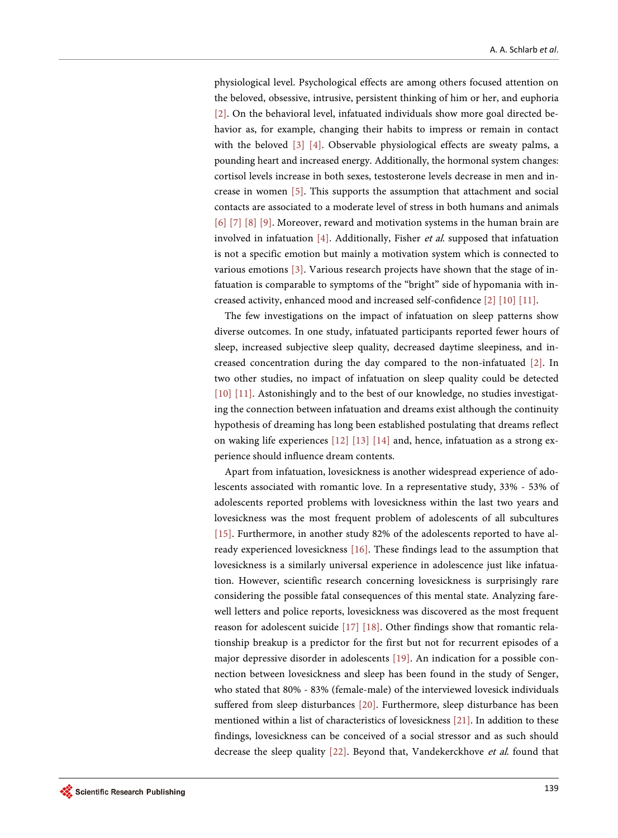physiological level. Psychological effects are among others focused attention on the beloved, obsessive, intrusive, persistent thinking of him or her, and euphoria [\[2\].](#page-12-0) On the behavioral level, infatuated individuals show more goal directed behavior as, for example, changing their habits to impress or remain in contact with the beloved [\[3\]](#page-12-1) [\[4\].](#page-12-2) Observable physiological effects are sweaty palms, a pounding heart and increased energy. Additionally, the hormonal system changes: cortisol levels increase in both sexes, testosterone levels decrease in men and increase in women [\[5\].](#page-12-3) This supports the assumption that attachment and social contacts are associated to a moderate level of stress in both humans and animals [\[6\]](#page-12-4) [\[7\]](#page-12-5) [\[8\]](#page-12-6) [\[9\].](#page-12-7) Moreover, reward and motivation systems in the human brain are involved in infatuation [\[4\].](#page-12-2) Additionally, Fisher et al. supposed that infatuation is not a specific emotion but mainly a motivation system which is connected to various emotions [\[3\].](#page-12-1) Various research projects have shown that the stage of infatuation is comparable to symptoms of the "bright" side of hypomania with increased activity, enhanced mood and increased self-confidence [\[2\]](#page-12-0) [\[10\]](#page-12-8) [\[11\].](#page-12-9)

The few investigations on the impact of infatuation on sleep patterns show diverse outcomes. In one study, infatuated participants reported fewer hours of sleep, increased subjective sleep quality, decreased daytime sleepiness, and increased concentration during the day compared to the non-infatuated [\[2\].](#page-12-0) In two other studies, no impact of infatuation on sleep quality could be detected [\[10\]](#page-12-8) [\[11\].](#page-12-9) Astonishingly and to the best of our knowledge, no studies investigating the connection between infatuation and dreams exist although the continuity hypothesis of dreaming has long been established postulating that dreams reflect on waking life experiences [\[12\]](#page-12-10) [\[13\]](#page-12-11) [\[14\]](#page-12-12) and, hence, infatuation as a strong experience should influence dream contents.

Apart from infatuation, lovesickness is another widespread experience of adolescents associated with romantic love. In a representative study, 33% - 53% of adolescents reported problems with lovesickness within the last two years and lovesickness was the most frequent problem of adolescents of all subcultures [\[15\].](#page-12-13) Furthermore, in another study 82% of the adolescents reported to have already experienced lovesickness [\[16\].](#page-13-0) These findings lead to the assumption that lovesickness is a similarly universal experience in adolescence just like infatuation. However, scientific research concerning lovesickness is surprisingly rare considering the possible fatal consequences of this mental state. Analyzing farewell letters and police reports, lovesickness was discovered as the most frequent reason for adolescent suicide [\[17\]](#page-13-1) [\[18\].](#page-13-2) Other findings show that romantic relationship breakup is a predictor for the first but not for recurrent episodes of a major depressive disorder in adolescents [\[19\].](#page-13-3) An indication for a possible connection between lovesickness and sleep has been found in the study of Senger, who stated that 80% - 83% (female-male) of the interviewed lovesick individuals suffered from sleep disturbances [\[20\].](#page-13-4) Furthermore, sleep disturbance has been mentioned within a list of characteristics of lovesickness [\[21\].](#page-13-5) In addition to these findings, lovesickness can be conceived of a social stressor and as such should decrease the sleep quality [\[22\].](#page-13-6) Beyond that, Vandekerckhove et al. found that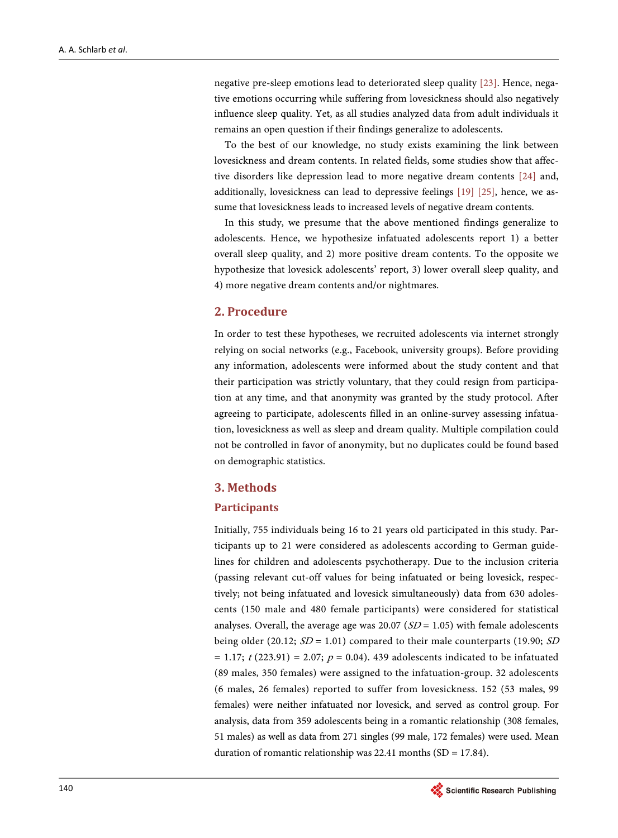negative pre-sleep emotions lead to deteriorated sleep quality [\[23\].](#page-13-7) Hence, negative emotions occurring while suffering from lovesickness should also negatively influence sleep quality. Yet, as all studies analyzed data from adult individuals it remains an open question if their findings generalize to adolescents.

To the best of our knowledge, no study exists examining the link between lovesickness and dream contents. In related fields, some studies show that affective disorders like depression lead to more negative dream contents [\[24\]](#page-13-8) and, additionally, lovesickness can lead to depressive feelings [\[19\]](#page-13-3) [\[25\],](#page-13-9) hence, we assume that lovesickness leads to increased levels of negative dream contents.

In this study, we presume that the above mentioned findings generalize to adolescents. Hence, we hypothesize infatuated adolescents report 1) a better overall sleep quality, and 2) more positive dream contents. To the opposite we hypothesize that lovesick adolescents' report, 3) lower overall sleep quality, and 4) more negative dream contents and/or nightmares.

## **2. Procedure**

In order to test these hypotheses, we recruited adolescents via internet strongly relying on social networks (e.g., Facebook, university groups). Before providing any information, adolescents were informed about the study content and that their participation was strictly voluntary, that they could resign from participation at any time, and that anonymity was granted by the study protocol. After agreeing to participate, adolescents filled in an online-survey assessing infatuation, lovesickness as well as sleep and dream quality. Multiple compilation could not be controlled in favor of anonymity, but no duplicates could be found based on demographic statistics.

## **3. Methods**

#### **Participants**

Initially, 755 individuals being 16 to 21 years old participated in this study. Participants up to 21 were considered as adolescents according to German guidelines for children and adolescents psychotherapy. Due to the inclusion criteria (passing relevant cut-off values for being infatuated or being lovesick, respectively; not being infatuated and lovesick simultaneously) data from 630 adolescents (150 male and 480 female participants) were considered for statistical analyses. Overall, the average age was 20.07 ( $SD = 1.05$ ) with female adolescents being older (20.12;  $SD = 1.01$ ) compared to their male counterparts (19.90; SD  $= 1.17$ ;  $t (223.91) = 2.07$ ;  $p = 0.04$ ). 439 adolescents indicated to be infatuated (89 males, 350 females) were assigned to the infatuation-group. 32 adolescents (6 males, 26 females) reported to suffer from lovesickness. 152 (53 males, 99 females) were neither infatuated nor lovesick, and served as control group. For analysis, data from 359 adolescents being in a romantic relationship (308 females, 51 males) as well as data from 271 singles (99 male, 172 females) were used. Mean duration of romantic relationship was  $22.41$  months (SD = 17.84).

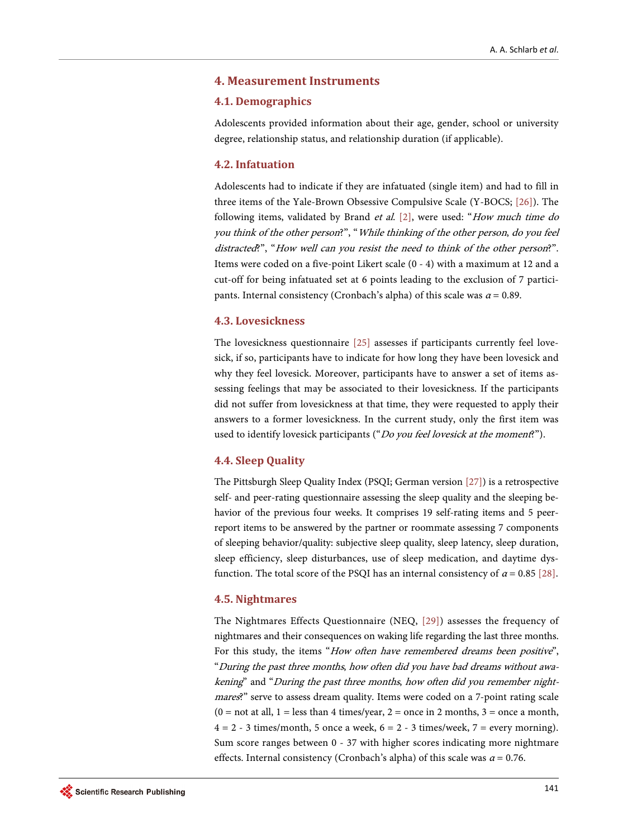#### **4. Measurement Instruments**

#### **4.1. Demographics**

Adolescents provided information about their age, gender, school or university degree, relationship status, and relationship duration (if applicable).

#### **4.2. Infatuation**

Adolescents had to indicate if they are infatuated (single item) and had to fill in three items of the Yale-Brown Obsessive Compulsive Scale (Y-BOCS; [\[26\]\)](#page-13-10). The following items, validated by Brand et al. [\[2\],](#page-12-0) were used: "How much time do you think of the other person?", "While thinking of the other person, do you feel distracted?", "How well can you resist the need to think of the other person?". Items were coded on a five-point Likert scale (0 - 4) with a maximum at 12 and a cut-off for being infatuated set at 6 points leading to the exclusion of 7 participants. Internal consistency (Cronbach's alpha) of this scale was  $\alpha$  = 0.89.

#### **4.3. Lovesickness**

The lovesickness questionnaire [\[25\]](#page-13-9) assesses if participants currently feel lovesick, if so, participants have to indicate for how long they have been lovesick and why they feel lovesick. Moreover, participants have to answer a set of items assessing feelings that may be associated to their lovesickness. If the participants did not suffer from lovesickness at that time, they were requested to apply their answers to a former lovesickness. In the current study, only the first item was used to identify lovesick participants ("Do you feel lovesick at the moment?").

#### **4.4. Sleep Quality**

The Pittsburgh Sleep Quality Index (PSQI; German versio[n \[27\]\)](#page-13-11) is a retrospective self- and peer-rating questionnaire assessing the sleep quality and the sleeping behavior of the previous four weeks. It comprises 19 self-rating items and 5 peerreport items to be answered by the partner or roommate assessing 7 components of sleeping behavior/quality: subjective sleep quality, sleep latency, sleep duration, sleep efficiency, sleep disturbances, use of sleep medication, and daytime dysfunction. The total score of the PSQI has an internal consistency of  $\alpha$  = 0.85 [\[28\].](#page-13-12)

#### **4.5. Nightmares**

The Nightmares Effects Questionnaire (NEQ, [\[29\]\)](#page-13-13) assesses the frequency of nightmares and their consequences on waking life regarding the last three months. For this study, the items "How often have remembered dreams been positive", "During the past three months, how often did you have bad dreams without awakening" and "During the past three months, how often did you remember nightmares?" serve to assess dream quality. Items were coded on a 7-point rating scale  $(0 = not at all, 1 = less than 4 times/year, 2 = once in 2 months, 3 = once a month,$  $4 = 2 - 3$  times/month, 5 once a week,  $6 = 2 - 3$  times/week,  $7 =$  every morning). Sum score ranges between 0 - 37 with higher scores indicating more nightmare effects. Internal consistency (Cronbach's alpha) of this scale was  $\alpha$  = 0.76.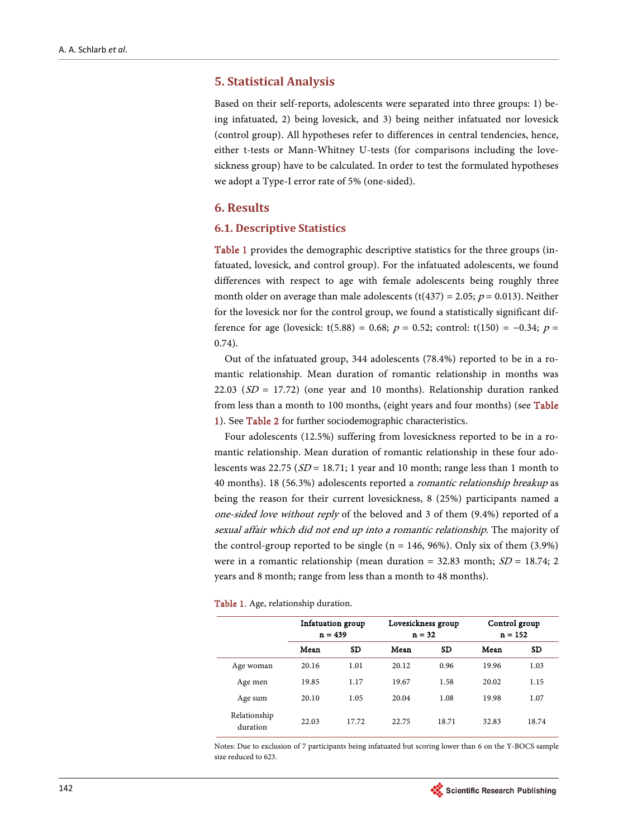## **5. Statistical Analysis**

Based on their self-reports, adolescents were separated into three groups: 1) being infatuated, 2) being lovesick, and 3) being neither infatuated nor lovesick (control group). All hypotheses refer to differences in central tendencies, hence, either t-tests or Mann-Whitney U-tests (for comparisons including the lovesickness group) have to be calculated. In order to test the formulated hypotheses we adopt a Type-I error rate of 5% (one-sided).

## **6. Results**

#### **6.1. Descriptive Statistics**

[Table 1](#page-4-0) provides the demographic descriptive statistics for the three groups (infatuated, lovesick, and control group). For the infatuated adolescents, we found differences with respect to age with female adolescents being roughly three month older on average than male adolescents (t(437) = 2.05;  $p = 0.013$ ). Neither for the lovesick nor for the control group, we found a statistically significant difference for age (lovesick: t(5.88) = 0.68;  $p = 0.52$ ; control: t(150) = −0.34;  $p =$ 0.74).

Out of the infatuated group, 344 adolescents (78.4%) reported to be in a romantic relationship. Mean duration of romantic relationship in months was 22.03 ( $SD = 17.72$ ) (one year and 10 months). Relationship duration ranked from less than a month to 100 months, (eight years and four months) (see Table [1\)](#page-4-0). See [Table 2](#page-5-0) for further sociodemographic characteristics.

Four adolescents (12.5%) suffering from lovesickness reported to be in a romantic relationship. Mean duration of romantic relationship in these four adolescents was 22.75 ( $SD = 18.71$ ; 1 year and 10 month; range less than 1 month to 40 months). 18 (56.3%) adolescents reported a romantic relationship breakup as being the reason for their current lovesickness, 8 (25%) participants named a one-sided love without reply of the beloved and 3 of them (9.4%) reported of a sexual affair which did not end up into a romantic relationship. The majority of the control-group reported to be single ( $n = 146, 96\%$ ). Only six of them (3.9%) were in a romantic relationship (mean duration = 32.83 month;  $SD = 18.74$ ; 2 years and 8 month; range from less than a month to 48 months).

<span id="page-4-0"></span>

|  |  |  |  |  |  | Table 1. Age, relationship duration. |
|--|--|--|--|--|--|--------------------------------------|
|--|--|--|--|--|--|--------------------------------------|

|                          | Infatuation group<br>$n = 439$ |           |       | Lovesickness group<br>$n = 32$ |       | Control group<br>$n = 152$ |  |
|--------------------------|--------------------------------|-----------|-------|--------------------------------|-------|----------------------------|--|
|                          | Mean                           | <b>SD</b> | Mean  | <b>SD</b>                      | Mean  | <b>SD</b>                  |  |
| Age woman                | 20.16                          | 1.01      | 20.12 | 0.96                           | 19.96 | 1.03                       |  |
| Age men                  | 19.85                          | 1.17      | 19.67 | 1.58                           | 20.02 | 1.15                       |  |
| Age sum                  | 20.10                          | 1.05      | 20.04 | 1.08                           | 19.98 | 1.07                       |  |
| Relationship<br>duration | 22.03                          | 17.72     | 22.75 | 18.71                          | 32.83 | 18.74                      |  |

Notes: Due to exclusion of 7 participants being infatuated but scoring lower than 6 on the Y-BOCS sample size reduced to 623.

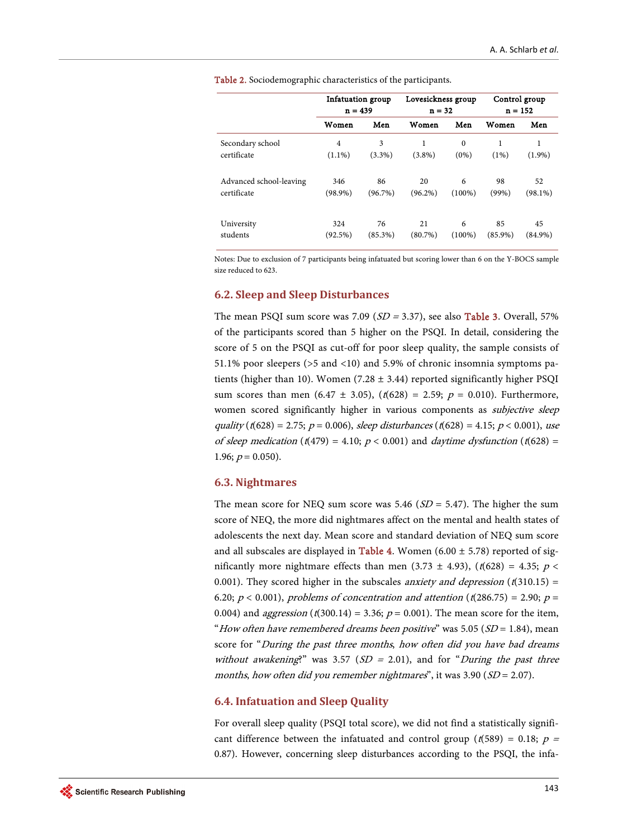<span id="page-5-0"></span>

|                         | Infatuation group<br>$n = 439$ |            | Lovesickness group<br>$n = 32$ |           | Control group<br>$n = 152$ |            |
|-------------------------|--------------------------------|------------|--------------------------------|-----------|----------------------------|------------|
|                         | Women                          | Men        | Women                          | Men       | Women                      | Men        |
| Secondary school        | $\overline{4}$                 | 3          | 1                              | $\Omega$  | 1                          | 1          |
| certificate             | $(1.1\%)$                      | $(3.3\%)$  | $(3.8\%)$                      | $(0\%)$   | (1%)                       | $(1.9\%)$  |
| Advanced school-leaving | 346                            | 86         | 20                             | 6         | 98                         | 52         |
| certificate             | $(98.9\%)$                     | $(96.7\%)$ | $(96.2\%)$                     | $(100\%)$ | $(99\%)$                   | $(98.1\%)$ |
| University              | 324                            | 76         | 21                             | 6         | 85                         | 45         |
| students                | (92.5%)                        | (85.3%)    | $(80.7\%)$                     | $(100\%)$ | $(85.9\%)$                 | $(84.9\%)$ |

Table 2. Sociodemographic characteristics of the participants.

Notes: Due to exclusion of 7 participants being infatuated but scoring lower than 6 on the Y-BOCS sample size reduced to 623.

## **6.2. Sleep and Sleep Disturbances**

The mean PSQI sum score was 7.09 ( $SD = 3.37$ ), see also **Table 3**. Overall, 57% of the participants scored than 5 higher on the PSQI. In detail, considering the score of 5 on the PSQI as cut-off for poor sleep quality, the sample consists of 51.1% poor sleepers (>5 and <10) and 5.9% of chronic insomnia symptoms patients (higher than 10). Women (7.28  $\pm$  3.44) reported significantly higher PSQI sum scores than men (6.47 ± 3.05),  $(t(628) = 2.59; p = 0.010)$ . Furthermore, women scored significantly higher in various components as *subjective sleep* quality ( $t(628) = 2.75$ ;  $p = 0.006$ ), sleep disturbances ( $t(628) = 4.15$ ;  $p < 0.001$ ), use of sleep medication (t(479) = 4.10;  $p < 0.001$ ) and *daytime dysfunction* (t(628) = 1.96;  $p = 0.050$ ).

#### **6.3. Nightmares**

The mean score for NEQ sum score was 5.46 ( $SD = 5.47$ ). The higher the sum score of NEQ, the more did nightmares affect on the mental and health states of adolescents the next day. Mean score and standard deviation of NEQ sum score and all subscales are displayed in [Table 4.](#page-6-1) Women (6.00  $\pm$  5.78) reported of significantly more nightmare effects than men (3.73  $\pm$  4.93), (t(628) = 4.35; p < 0.001). They scored higher in the subscales *anxiety and depression* ( $t(310.15)$  = 6.20;  $p < 0.001$ ), problems of concentration and attention (t(286.75) = 2.90;  $p =$ 0.004) and *aggression* ( $t(300.14) = 3.36$ ;  $p = 0.001$ ). The mean score for the item, "How often have remembered dreams been positive" was 5.05 ( $SD = 1.84$ ), mean score for "During the past three months, how often did you have bad dreams without awakening?" was 3.57 ( $SD = 2.01$ ), and for "During the past three months, how often did you remember nightmares", it was  $3.90$  ( $SD = 2.07$ ).

#### **6.4. Infatuation and Sleep Quality**

For overall sleep quality (PSQI total score), we did not find a statistically significant difference between the infatuated and control group ( $t(589) = 0.18$ ;  $p =$ 0.87). However, concerning sleep disturbances according to the PSQI, the infa-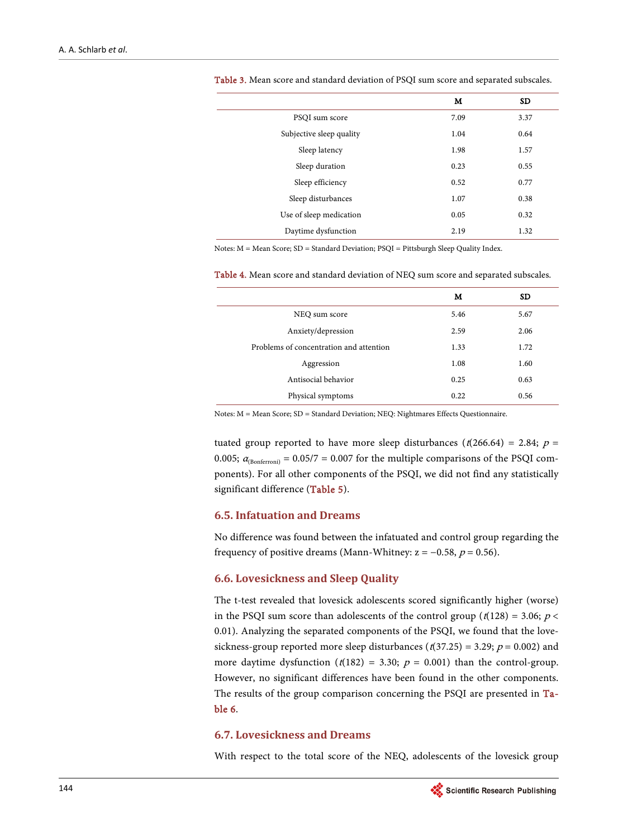|                          | м    | <b>SD</b> |
|--------------------------|------|-----------|
| PSQI sum score           | 7.09 | 3.37      |
| Subjective sleep quality | 1.04 | 0.64      |
| Sleep latency            | 1.98 | 1.57      |
| Sleep duration           | 0.23 | 0.55      |
| Sleep efficiency         | 0.52 | 0.77      |
| Sleep disturbances       | 1.07 | 0.38      |
| Use of sleep medication  | 0.05 | 0.32      |
| Daytime dysfunction      | 2.19 | 1.32      |

<span id="page-6-0"></span>Table 3. Mean score and standard deviation of PSQI sum score and separated subscales.

Notes: M = Mean Score; SD = Standard Deviation; PSQI = Pittsburgh Sleep Quality Index.

<span id="page-6-1"></span>Table 4. Mean score and standard deviation of NEQ sum score and separated subscales.

|                                         | м    | SD   |
|-----------------------------------------|------|------|
| NEQ sum score                           | 5.46 | 5.67 |
| Anxiety/depression                      | 2.59 | 2.06 |
| Problems of concentration and attention | 1.33 | 1.72 |
| Aggression                              | 1.08 | 1.60 |
| Antisocial behavior                     | 0.25 | 0.63 |
| Physical symptoms                       | 0.22 | 0.56 |

Notes: M = Mean Score; SD = Standard Deviation; NEQ: Nightmares Effects Questionnaire.

tuated group reported to have more sleep disturbances ( $t(266.64) = 2.84$ ;  $p =$ 0.005;  $\alpha_{(Bonferroni)} = 0.05/7 = 0.007$  for the multiple comparisons of the PSQI components). For all other components of the PSQI, we did not find any statistically significant difference [\(Table 5\)](#page-7-0).

## **6.5. Infatuation and Dreams**

No difference was found between the infatuated and control group regarding the frequency of positive dreams (Mann-Whitney:  $z = -0.58$ ,  $p = 0.56$ ).

#### **6.6. Lovesickness and Sleep Quality**

The t-test revealed that lovesick adolescents scored significantly higher (worse) in the PSQI sum score than adolescents of the control group ( $t(128) = 3.06$ ;  $p <$ 0.01). Analyzing the separated components of the PSQI, we found that the lovesickness-group reported more sleep disturbances ( $t(37.25) = 3.29$ ;  $p = 0.002$ ) and more daytime dysfunction  $(t(182) = 3.30; p = 0.001)$  than the control-group. However, no significant differences have been found in the other components. The results of the group comparison concerning the PSQI are presented in [Ta](#page-7-1)[ble 6.](#page-7-1) 

## **6.7. Lovesickness and Dreams**

With respect to the total score of the NEQ, adolescents of the lovesick group

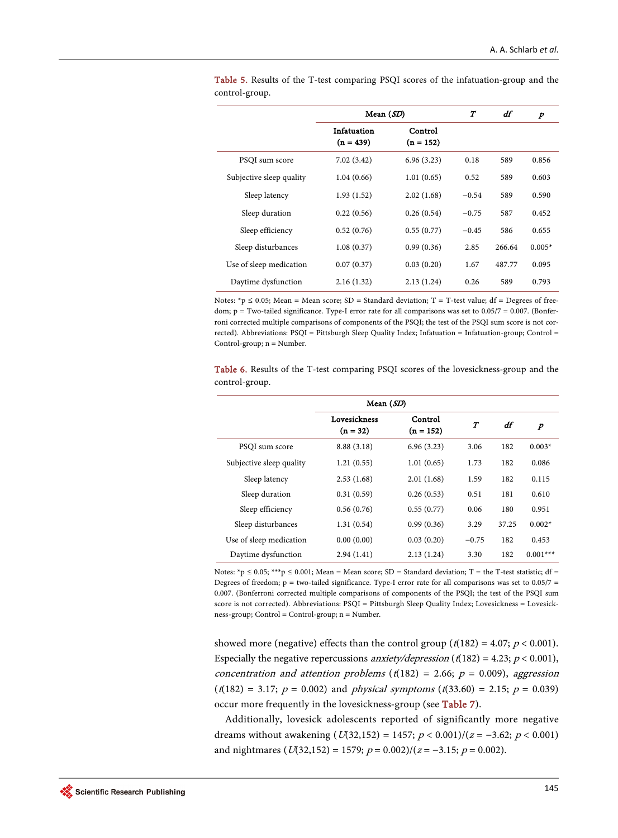|                          | Mean $(SD)$                |                        | $\boldsymbol{\mathcal{T}}$ | df     | p        |
|--------------------------|----------------------------|------------------------|----------------------------|--------|----------|
|                          | Infatuation<br>$(n = 439)$ | Control<br>$(n = 152)$ |                            |        |          |
| PSQI sum score           | 7.02(3.42)                 | 6.96(3.23)             | 0.18                       | 589    | 0.856    |
| Subjective sleep quality | 1.04(0.66)                 | 1.01(0.65)             | 0.52                       | 589    | 0.603    |
| Sleep latency            | 1.93(1.52)                 | 2.02(1.68)             | $-0.54$                    | 589    | 0.590    |
| Sleep duration           | 0.22(0.56)                 | 0.26(0.54)             | $-0.75$                    | 587    | 0.452    |
| Sleep efficiency         | 0.52(0.76)                 | 0.55(0.77)             | $-0.45$                    | 586    | 0.655    |
| Sleep disturbances       | 1.08(0.37)                 | 0.99(0.36)             | 2.85                       | 266.64 | $0.005*$ |
| Use of sleep medication  | 0.07(0.37)                 | 0.03(0.20)             | 1.67                       | 487.77 | 0.095    |
| Daytime dysfunction      | 2.16(1.32)                 | 2.13(1.24)             | 0.26                       | 589    | 0.793    |

<span id="page-7-0"></span>Table 5. Results of the T-test comparing PSQI scores of the infatuation-group and the control-group.

Notes: \*p  $\leq 0.05$ ; Mean = Mean score; SD = Standard deviation; T = T-test value; df = Degrees of freedom; p = Two-tailed significance. Type-I error rate for all comparisons was set to 0.05/7 = 0.007. (Bonferroni corrected multiple comparisons of components of the PSQI; the test of the PSQI sum score is not corrected). Abbreviations: PSQI = Pittsburgh Sleep Quality Index; Infatuation = Infatuation-group; Control = Control-group; n = Number.

<span id="page-7-1"></span>Table 6. Results of the T-test comparing PSQI scores of the lovesickness-group and the control-group.

| Mean $(SD)$              |                            |                        |         |       |                  |
|--------------------------|----------------------------|------------------------|---------|-------|------------------|
|                          | Lovesickness<br>$(n = 32)$ | Control<br>$(n = 152)$ | $\tau$  | df    | $\boldsymbol{p}$ |
| PSQI sum score           | 8.88 (3.18)                | 6.96(3.23)             | 3.06    | 182   | $0.003*$         |
| Subjective sleep quality | 1.21(0.55)                 | 1.01(0.65)             | 1.73    | 182   | 0.086            |
| Sleep latency            | 2.53(1.68)                 | 2.01(1.68)             | 1.59    | 182   | 0.115            |
| Sleep duration           | 0.31(0.59)                 | 0.26(0.53)             | 0.51    | 181   | 0.610            |
| Sleep efficiency         | 0.56(0.76)                 | 0.55(0.77)             | 0.06    | 180   | 0.951            |
| Sleep disturbances       | 1.31(0.54)                 | 0.99(0.36)             | 3.29    | 37.25 | $0.002*$         |
| Use of sleep medication  | 0.00(0.00)                 | 0.03(0.20)             | $-0.75$ | 182   | 0.453            |
| Daytime dysfunction      | 2.94(1.41)                 | 2.13(1.24)             | 3.30    | 182   | $0.001***$       |

Notes: \*p  $\leq 0.05$ ; \*\*\*p  $\leq 0.001$ ; Mean = Mean score; SD = Standard deviation; T = the T-test statistic; df = Degrees of freedom;  $p = two$ -tailed significance. Type-I error rate for all comparisons was set to 0.05/7 = 0.007. (Bonferroni corrected multiple comparisons of components of the PSQI; the test of the PSQI sum score is not corrected). Abbreviations: PSQI = Pittsburgh Sleep Quality Index; Lovesickness = Lovesickness-group; Control = Control-group; n = Number.

showed more (negative) effects than the control group ( $t(182) = 4.07$ ;  $p < 0.001$ ). Especially the negative repercussions *anxiety/depression* ( $t(182) = 4.23$ ;  $p < 0.001$ ), concentration and attention problems ( $t(182) = 2.66$ ;  $p = 0.009$ ), aggression  $(t(182) = 3.17; p = 0.002)$  and *physical symptoms*  $(t(33.60) = 2.15; p = 0.039)$ occur more frequently in the lovesickness-group (see [Table 7\)](#page-8-0).

Additionally, lovesick adolescents reported of significantly more negative dreams without awakening ( $U(32,152) = 1457$ ;  $p < 0.001$ )/( $z = -3.62$ ;  $p < 0.001$ ) and nightmares ( $U(32,152) = 1579$ ;  $p = 0.002$ )/( $z = -3.15$ ;  $p = 0.002$ ).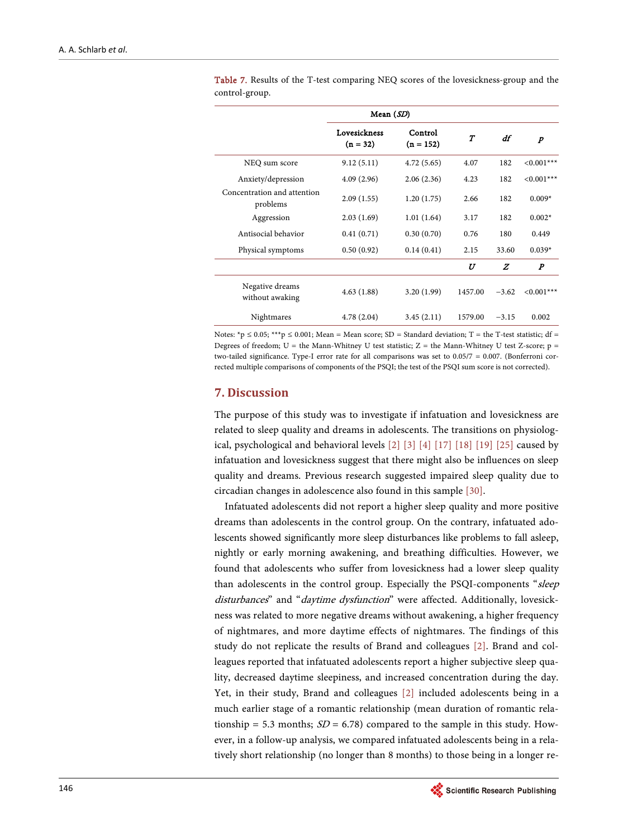|                                         | Mean $(SD)$                |                        |                  |         |                  |
|-----------------------------------------|----------------------------|------------------------|------------------|---------|------------------|
|                                         | Lovesickness<br>$(n = 32)$ | Control<br>$(n = 152)$ | $\boldsymbol{T}$ | df      | $\boldsymbol{p}$ |
| NEQ sum score                           | 9.12(5.11)                 | 4.72(5.65)             | 4.07             | 182     | $< 0.001$ ***    |
| Anxiety/depression                      | 4.09(2.96)                 | 2.06(2.36)             | 4.23             | 182     | $< 0.001$ ***    |
| Concentration and attention<br>problems | 2.09(1.55)                 | 1.20(1.75)             | 2.66             | 182     | $0.009*$         |
| Aggression                              | 2.03(1.69)                 | 1.01(1.64)             | 3.17             | 182     | $0.002*$         |
| Antisocial behavior                     | 0.41(0.71)                 | 0.30(0.70)             | 0.76             | 180     | 0.449            |
| Physical symptoms                       | 0.50(0.92)                 | 0.14(0.41)             | 2.15             | 33.60   | $0.039*$         |
|                                         |                            |                        | U                | Z       | $\boldsymbol{P}$ |
| Negative dreams<br>without awaking      | 4.63(1.88)                 | 3.20(1.99)             | 1457.00          | $-3.62$ | $< 0.001$ ***    |
| Nightmares                              | 4.78(2.04)                 | 3.45(2.11)             | 1579.00          | $-3.15$ | 0.002            |

<span id="page-8-0"></span>Table 7. Results of the T-test comparing NEQ scores of the lovesickness-group and the control-group.

Notes: \*p  $\leq 0.05$ ; \*\*\*p  $\leq 0.001$ ; Mean = Mean score; SD = Standard deviation; T = the T-test statistic; df = Degrees of freedom; U = the Mann-Whitney U test statistic; Z = the Mann-Whitney U test Z-score;  $p =$ two-tailed significance. Type-I error rate for all comparisons was set to 0.05/7 = 0.007. (Bonferroni corrected multiple comparisons of components of the PSQI; the test of the PSQI sum score is not corrected).

## **7. Discussion**

The purpose of this study was to investigate if infatuation and lovesickness are related to sleep quality and dreams in adolescents. The transitions on physiological, psychological and behavioral levels [\[2\]](#page-12-0) [\[3\]](#page-12-1) [\[4\]](#page-12-2) [\[17\]](#page-13-1) [\[18\]](#page-13-2) [\[19\]](#page-13-3) [\[25\]](#page-13-9) caused by infatuation and lovesickness suggest that there might also be influences on sleep quality and dreams. Previous research suggested impaired sleep quality due to circadian changes in adolescence also found in this sample [\[30\].](#page-13-14)

Infatuated adolescents did not report a higher sleep quality and more positive dreams than adolescents in the control group. On the contrary, infatuated adolescents showed significantly more sleep disturbances like problems to fall asleep, nightly or early morning awakening, and breathing difficulties. However, we found that adolescents who suffer from lovesickness had a lower sleep quality than adolescents in the control group. Especially the PSQI-components "sleep disturbances" and "daytime dysfunction" were affected. Additionally, lovesickness was related to more negative dreams without awakening, a higher frequency of nightmares, and more daytime effects of nightmares. The findings of this study do not replicate the results of Brand and colleagues [\[2\].](#page-12-0) Brand and colleagues reported that infatuated adolescents report a higher subjective sleep quality, decreased daytime sleepiness, and increased concentration during the day. Yet, in their study, Brand and colleagues [\[2\]](#page-12-0) included adolescents being in a much earlier stage of a romantic relationship (mean duration of romantic relationship = 5.3 months;  $SD = 6.78$ ) compared to the sample in this study. However, in a follow-up analysis, we compared infatuated adolescents being in a relatively short relationship (no longer than 8 months) to those being in a longer re-

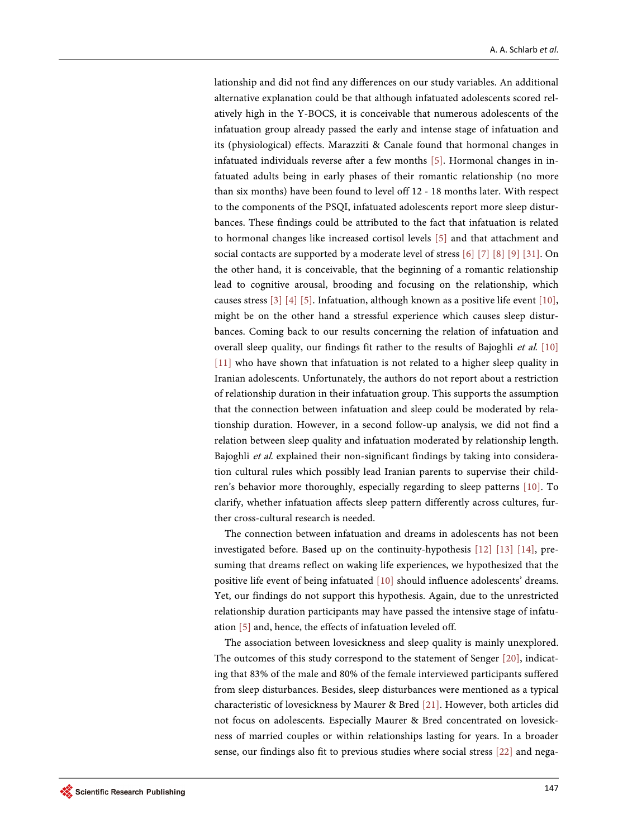lationship and did not find any differences on our study variables. An additional alternative explanation could be that although infatuated adolescents scored relatively high in the Y-BOCS, it is conceivable that numerous adolescents of the infatuation group already passed the early and intense stage of infatuation and its (physiological) effects. Marazziti & Canale found that hormonal changes in infatuated individuals reverse after a few months [\[5\].](#page-12-3) Hormonal changes in infatuated adults being in early phases of their romantic relationship (no more than six months) have been found to level off 12 - 18 months later. With respect to the components of the PSQI, infatuated adolescents report more sleep disturbances. These findings could be attributed to the fact that infatuation is related to hormonal changes like increased cortisol levels [\[5\]](#page-12-3) and that attachment and social contacts are supported by a moderate level of stres[s \[6\]](#page-12-4) [\[7\]](#page-12-5) [\[8\]](#page-12-6) [\[9\]](#page-12-7) [\[31\].](#page-13-15) On the other hand, it is conceivable, that the beginning of a romantic relationship lead to cognitive arousal, brooding and focusing on the relationship, which causes stress [\[3\]](#page-12-1) [\[4\]](#page-12-2) [\[5\].](#page-12-3) Infatuation, although known as a positive life event [\[10\],](#page-12-8)  might be on the other hand a stressful experience which causes sleep disturbances. Coming back to our results concerning the relation of infatuation and overall sleep quality, our findings fit rather to the results of Bajoghli et al. [\[10\]](#page-12-8) [\[11\]](#page-12-9) who have shown that infatuation is not related to a higher sleep quality in Iranian adolescents. Unfortunately, the authors do not report about a restriction of relationship duration in their infatuation group. This supports the assumption that the connection between infatuation and sleep could be moderated by relationship duration. However, in a second follow-up analysis, we did not find a relation between sleep quality and infatuation moderated by relationship length. Bajoghli et al. explained their non-significant findings by taking into consideration cultural rules which possibly lead Iranian parents to supervise their children's behavior more thoroughly, especially regarding to sleep patterns [\[10\].](#page-12-8) To clarify, whether infatuation affects sleep pattern differently across cultures, further cross-cultural research is needed.

The connection between infatuation and dreams in adolescents has not been investigated before. Based up on the continuity-hypothesis [\[12\]](#page-12-10) [\[13\]](#page-12-11) [\[14\],](#page-12-12) presuming that dreams reflect on waking life experiences, we hypothesized that the positive life event of being infatuated [\[10\]](#page-12-8) should influence adolescents' dreams. Yet, our findings do not support this hypothesis. Again, due to the unrestricted relationship duration participants may have passed the intensive stage of infatuation [\[5\]](#page-12-3) and, hence, the effects of infatuation leveled off.

The association between lovesickness and sleep quality is mainly unexplored. The outcomes of this study correspond to the statement of Senger [\[20\],](#page-13-4) indicating that 83% of the male and 80% of the female interviewed participants suffered from sleep disturbances. Besides, sleep disturbances were mentioned as a typical characteristic of lovesickness by Maurer & Bred [\[21\].](#page-13-5) However, both articles did not focus on adolescents. Especially Maurer & Bred concentrated on lovesickness of married couples or within relationships lasting for years. In a broader sense, our findings also fit to previous studies where social stress [\[22\]](#page-13-6) and nega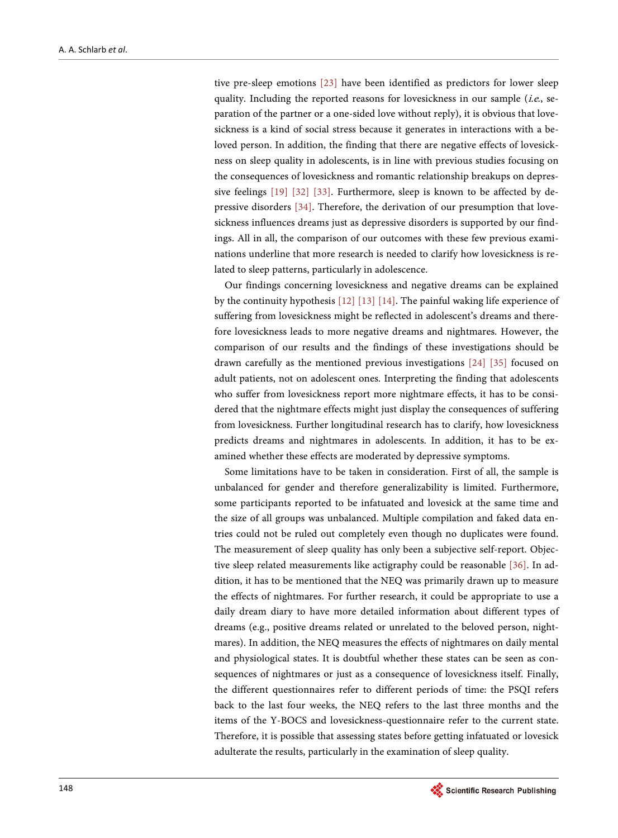tive pre-sleep emotions [\[23\]](#page-13-7) have been identified as predictors for lower sleep quality. Including the reported reasons for lovesickness in our sample (i.e., separation of the partner or a one-sided love without reply), it is obvious that lovesickness is a kind of social stress because it generates in interactions with a beloved person. In addition, the finding that there are negative effects of lovesickness on sleep quality in adolescents, is in line with previous studies focusing on the consequences of lovesickness and romantic relationship breakups on depressive feelings [\[19\]](#page-13-3) [\[32\]](#page-14-0) [\[33\].](#page-14-1) Furthermore, sleep is known to be affected by depressive disorders [\[34\].](#page-14-2) Therefore, the derivation of our presumption that lovesickness influences dreams just as depressive disorders is supported by our findings. All in all, the comparison of our outcomes with these few previous examinations underline that more research is needed to clarify how lovesickness is related to sleep patterns, particularly in adolescence.

Our findings concerning lovesickness and negative dreams can be explained by the continuity hypothesis [\[12\]](#page-12-10) [\[13\]](#page-12-11) [\[14\].](#page-12-12) The painful waking life experience of suffering from lovesickness might be reflected in adolescent's dreams and therefore lovesickness leads to more negative dreams and nightmares. However, the comparison of our results and the findings of these investigations should be drawn carefully as the mentioned previous investigations [\[24\]](#page-13-8) [\[35\]](#page-14-3) focused on adult patients, not on adolescent ones. Interpreting the finding that adolescents who suffer from lovesickness report more nightmare effects, it has to be considered that the nightmare effects might just display the consequences of suffering from lovesickness. Further longitudinal research has to clarify, how lovesickness predicts dreams and nightmares in adolescents. In addition, it has to be examined whether these effects are moderated by depressive symptoms.

Some limitations have to be taken in consideration. First of all, the sample is unbalanced for gender and therefore generalizability is limited. Furthermore, some participants reported to be infatuated and lovesick at the same time and the size of all groups was unbalanced. Multiple compilation and faked data entries could not be ruled out completely even though no duplicates were found. The measurement of sleep quality has only been a subjective self-report. Objective sleep related measurements like actigraphy could be reasonable [\[36\].](#page-14-4) In addition, it has to be mentioned that the NEQ was primarily drawn up to measure the effects of nightmares. For further research, it could be appropriate to use a daily dream diary to have more detailed information about different types of dreams (e.g., positive dreams related or unrelated to the beloved person, nightmares). In addition, the NEQ measures the effects of nightmares on daily mental and physiological states. It is doubtful whether these states can be seen as consequences of nightmares or just as a consequence of lovesickness itself. Finally, the different questionnaires refer to different periods of time: the PSQI refers back to the last four weeks, the NEQ refers to the last three months and the items of the Y-BOCS and lovesickness-questionnaire refer to the current state. Therefore, it is possible that assessing states before getting infatuated or lovesick adulterate the results, particularly in the examination of sleep quality.

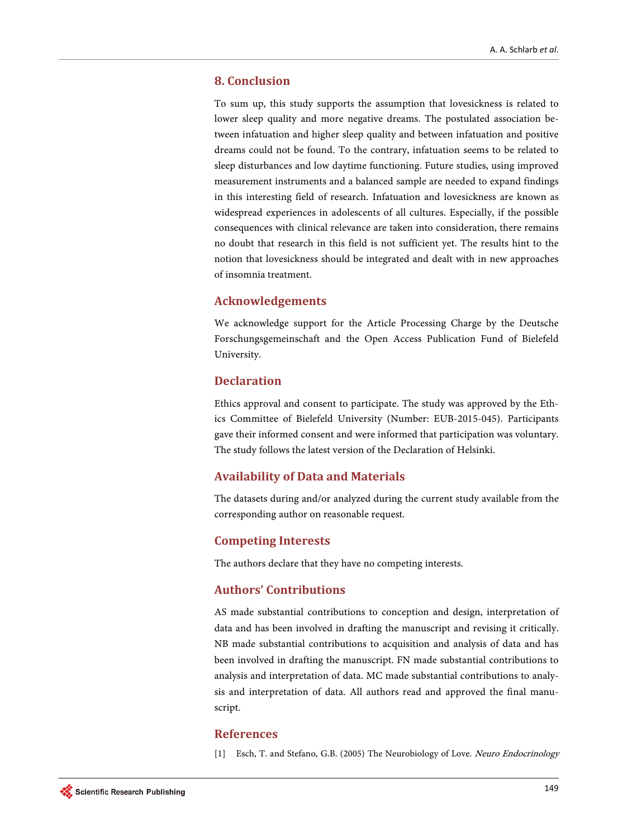## **8. Conclusion**

To sum up, this study supports the assumption that lovesickness is related to lower sleep quality and more negative dreams. The postulated association between infatuation and higher sleep quality and between infatuation and positive dreams could not be found. To the contrary, infatuation seems to be related to sleep disturbances and low daytime functioning. Future studies, using improved measurement instruments and a balanced sample are needed to expand findings in this interesting field of research. Infatuation and lovesickness are known as widespread experiences in adolescents of all cultures. Especially, if the possible consequences with clinical relevance are taken into consideration, there remains no doubt that research in this field is not sufficient yet. The results hint to the notion that lovesickness should be integrated and dealt with in new approaches of insomnia treatment.

# **Acknowledgements**

We acknowledge support for the Article Processing Charge by the Deutsche Forschungsgemeinschaft and the Open Access Publication Fund of Bielefeld University.

## **Declaration**

Ethics approval and consent to participate. The study was approved by the Ethics Committee of Bielefeld University (Number: EUB-2015-045). Participants gave their informed consent and were informed that participation was voluntary. The study follows the latest version of the Declaration of Helsinki.

## **Availability of Data and Materials**

The datasets during and/or analyzed during the current study available from the corresponding author on reasonable request.

## **Competing Interests**

The authors declare that they have no competing interests.

# **Authors' Contributions**

AS made substantial contributions to conception and design, interpretation of data and has been involved in drafting the manuscript and revising it critically. NB made substantial contributions to acquisition and analysis of data and has been involved in drafting the manuscript. FN made substantial contributions to analysis and interpretation of data. MC made substantial contributions to analysis and interpretation of data. All authors read and approved the final manuscript.

#### <span id="page-11-0"></span>**References**

[1] Esch, T. and Stefano, G.B. (2005) The Neurobiology of Love. Neuro Endocrinology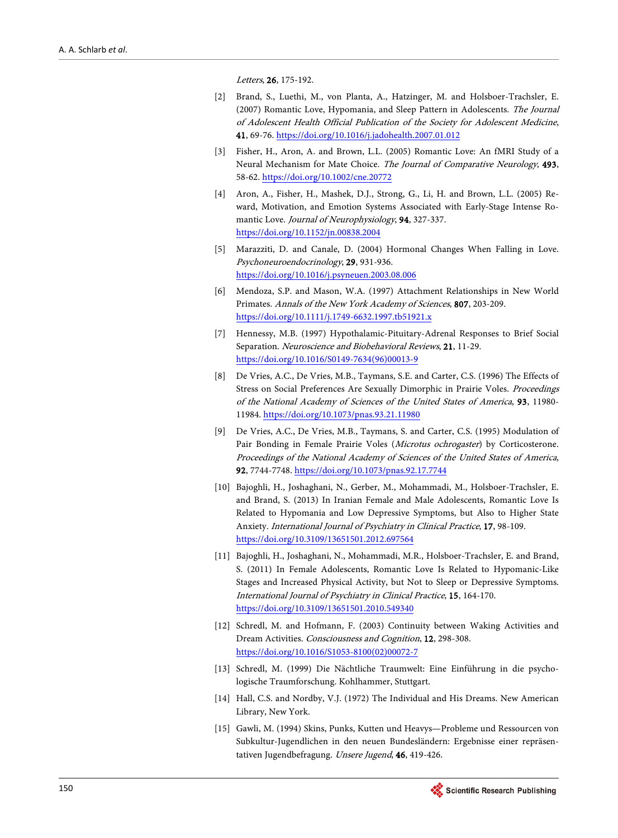Letters, 26, 175-192.

- <span id="page-12-0"></span>[2] Brand, S., Luethi, M., von Planta, A., Hatzinger, M. and Holsboer-Trachsler, E. (2007) Romantic Love, Hypomania, and Sleep Pattern in Adolescents. The Journal of Adolescent Health Official Publication of the Society for Adolescent Medicine, 41, 69-76. <https://doi.org/10.1016/j.jadohealth.2007.01.012>
- <span id="page-12-1"></span>[3] Fisher, H., Aron, A. and Brown, L.L. (2005) Romantic Love: An fMRI Study of a Neural Mechanism for Mate Choice. The Journal of Comparative Neurology, 493, 58-62. <https://doi.org/10.1002/cne.20772>
- <span id="page-12-2"></span>[4] Aron, A., Fisher, H., Mashek, D.J., Strong, G., Li, H. and Brown, L.L. (2005) Reward, Motivation, and Emotion Systems Associated with Early-Stage Intense Romantic Love. Journal of Neurophysiology, 94, 327-337. <https://doi.org/10.1152/jn.00838.2004>
- <span id="page-12-3"></span>[5] Marazziti, D. and Canale, D. (2004) Hormonal Changes When Falling in Love. Psychoneuroendocrinology, 29, 931-936. <https://doi.org/10.1016/j.psyneuen.2003.08.006>
- <span id="page-12-4"></span>[6] Mendoza, S.P. and Mason, W.A. (1997) Attachment Relationships in New World Primates. Annals of the New York Academy of Sciences, 807, 203-209. <https://doi.org/10.1111/j.1749-6632.1997.tb51921.x>
- <span id="page-12-5"></span>[7] Hennessy, M.B. (1997) Hypothalamic-Pituitary-Adrenal Responses to Brief Social Separation. Neuroscience and Biobehavioral Reviews, 21, 11-29. [https://doi.org/10.1016/S0149-7634\(96\)00013-9](https://doi.org/10.1016/S0149-7634(96)00013-9)
- <span id="page-12-6"></span>[8] De Vries, A.C., De Vries, M.B., Taymans, S.E. and Carter, C.S. (1996) The Effects of Stress on Social Preferences Are Sexually Dimorphic in Prairie Voles. Proceedings of the National Academy of Sciences of the United States of America, 93, 11980- 11984. <https://doi.org/10.1073/pnas.93.21.11980>
- <span id="page-12-7"></span>[9] De Vries, A.C., De Vries, M.B., Taymans, S. and Carter, C.S. (1995) Modulation of Pair Bonding in Female Prairie Voles (Microtus ochrogaster) by Corticosterone. Proceedings of the National Academy of Sciences of the United States of America, 92, 7744-7748. <https://doi.org/10.1073/pnas.92.17.7744>
- <span id="page-12-8"></span>[10] Bajoghli, H., Joshaghani, N., Gerber, M., Mohammadi, M., Holsboer-Trachsler, E. and Brand, S. (2013) In Iranian Female and Male Adolescents, Romantic Love Is Related to Hypomania and Low Depressive Symptoms, but Also to Higher State Anxiety. International Journal of Psychiatry in Clinical Practice, 17, 98-109. <https://doi.org/10.3109/13651501.2012.697564>
- <span id="page-12-9"></span>[11] Bajoghli, H., Joshaghani, N., Mohammadi, M.R., Holsboer-Trachsler, E. and Brand, S. (2011) In Female Adolescents, Romantic Love Is Related to Hypomanic-Like Stages and Increased Physical Activity, but Not to Sleep or Depressive Symptoms. International Journal of Psychiatry in Clinical Practice, 15, 164-170. <https://doi.org/10.3109/13651501.2010.549340>
- <span id="page-12-10"></span>[12] Schredl, M. and Hofmann, F. (2003) Continuity between Waking Activities and Dream Activities. Consciousness and Cognition, 12, 298-308. [https://doi.org/10.1016/S1053-8100\(02\)00072-7](https://doi.org/10.1016/S1053-8100(02)00072-7)
- <span id="page-12-11"></span>[13] Schredl, M. (1999) Die Nächtliche Traumwelt: Eine Einführung in die psychologische Traumforschung. Kohlhammer, Stuttgart.
- <span id="page-12-12"></span>[14] Hall, C.S. and Nordby, V.J. (1972) The Individual and His Dreams. New American Library, New York.
- <span id="page-12-13"></span>[15] Gawli, M. (1994) Skins, Punks, Kutten und Heavys—Probleme und Ressourcen von Subkultur-Jugendlichen in den neuen Bundesländern: Ergebnisse einer repräsentativen Jugendbefragung. Unsere Jugend, 46, 419-426.

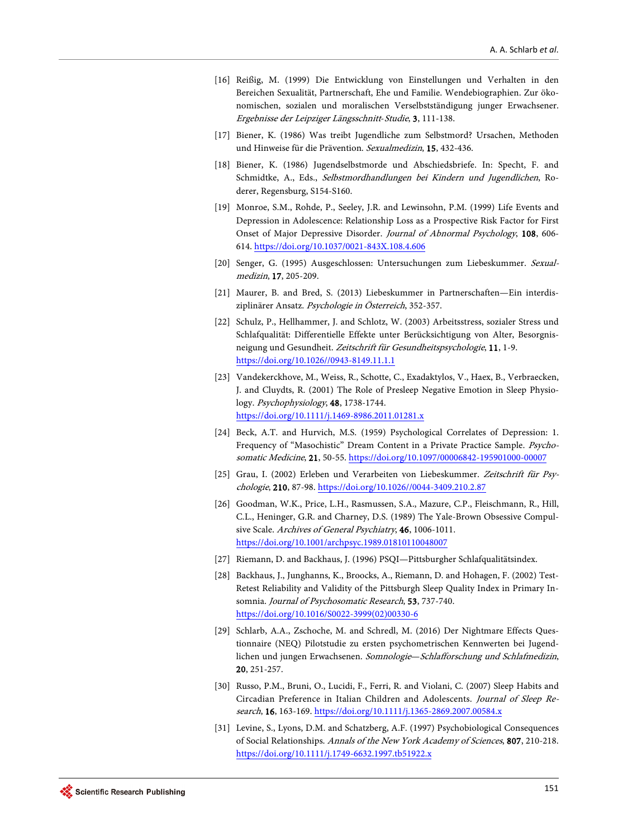- <span id="page-13-0"></span>[16] Reißig, M. (1999) Die Entwicklung von Einstellungen und Verhalten in den Bereichen Sexualität, Partnerschaft, Ehe und Familie. Wendebiographien. Zur ökonomischen, sozialen und moralischen Verselbstständigung junger Erwachsener. Ergebnisse der Leipziger Längsschnitt-Studie, 3, 111-138.
- <span id="page-13-1"></span>[17] Biener, K. (1986) Was treibt Jugendliche zum Selbstmord? Ursachen, Methoden und Hinweise für die Prävention. Sexualmedizin, 15, 432-436.
- <span id="page-13-2"></span>[18] Biener, K. (1986) Jugendselbstmorde und Abschiedsbriefe. In: Specht, F. and Schmidtke, A., Eds., Selbstmordhandlungen bei Kindern und Jugendlichen, Roderer, Regensburg, S154-S160.
- <span id="page-13-3"></span>[19] Monroe, S.M., Rohde, P., Seeley, J.R. and Lewinsohn, P.M. (1999) Life Events and Depression in Adolescence: Relationship Loss as a Prospective Risk Factor for First Onset of Major Depressive Disorder. Journal of Abnormal Psychology, 108, 606-614. <https://doi.org/10.1037/0021-843X.108.4.606>
- <span id="page-13-4"></span>[20] Senger, G. (1995) Ausgeschlossen: Untersuchungen zum Liebeskummer. Sexualmedizin, 17, 205-209.
- <span id="page-13-5"></span>[21] Maurer, B. and Bred, S. (2013) Liebeskummer in Partnerschaften—Ein interdisziplinärer Ansatz. Psychologie in Österreich, 352-357.
- <span id="page-13-6"></span>[22] Schulz, P., Hellhammer, J. and Schlotz, W. (2003) Arbeitsstress, sozialer Stress und Schlafqualität: Differentielle Effekte unter Berücksichtigung von Alter, Besorgnisneigung und Gesundheit. Zeitschrift für Gesundheitspsychologie, 11, 1-9. [https://doi.org/10.1026//0943-8149.11.1.1](https://doi.org/10.1026/0943-8149.11.1.1)
- <span id="page-13-7"></span>[23] Vandekerckhove, M., Weiss, R., Schotte, C., Exadaktylos, V., Haex, B., Verbraecken, J. and Cluydts, R. (2001) The Role of Presleep Negative Emotion in Sleep Physiology. Psychophysiology, 48, 1738-1744. <https://doi.org/10.1111/j.1469-8986.2011.01281.x>
- <span id="page-13-8"></span>[24] Beck, A.T. and Hurvich, M.S. (1959) Psychological Correlates of Depression: 1. Frequency of "Masochistic" Dream Content in a Private Practice Sample. Psychosomatic Medicine, 21, 50-55. <https://doi.org/10.1097/00006842-195901000-00007>
- <span id="page-13-9"></span>[25] Grau, I. (2002) Erleben und Verarbeiten von Liebeskummer. Zeitschrift für Psychologie, 210, 87-98[. https://doi.org/10.1026//0044-3409.210.2.87](https://doi.org/10.1026/0044-3409.210.2.87)
- <span id="page-13-10"></span>[26] Goodman, W.K., Price, L.H., Rasmussen, S.A., Mazure, C.P., Fleischmann, R., Hill, C.L., Heninger, G.R. and Charney, D.S. (1989) The Yale-Brown Obsessive Compulsive Scale. Archives of General Psychiatry, 46, 1006-1011. <https://doi.org/10.1001/archpsyc.1989.01810110048007>
- <span id="page-13-12"></span><span id="page-13-11"></span>[27] Riemann, D. and Backhaus, J. (1996) PSQI—Pittsburgher Schlafqualitätsindex.
- [28] Backhaus, J., Junghanns, K., Broocks, A., Riemann, D. and Hohagen, F. (2002) Test-Retest Reliability and Validity of the Pittsburgh Sleep Quality Index in Primary Insomnia. Journal of Psychosomatic Research, 53, 737-740. [https://doi.org/10.1016/S0022-3999\(02\)00330-6](https://doi.org/10.1016/S0022-3999(02)00330-6)
- <span id="page-13-13"></span>[29] Schlarb, A.A., Zschoche, M. and Schredl, M. (2016) Der Nightmare Effects Questionnaire (NEQ) Pilotstudie zu ersten psychometrischen Kennwerten bei Jugendlichen und jungen Erwachsenen. Somnologie—Schlafforschung und Schlafmedizin, 20, 251-257.
- <span id="page-13-14"></span>[30] Russo, P.M., Bruni, O., Lucidi, F., Ferri, R. and Violani, C. (2007) Sleep Habits and Circadian Preference in Italian Children and Adolescents. Journal of Sleep Research, 16, 163-169. <https://doi.org/10.1111/j.1365-2869.2007.00584.x>
- <span id="page-13-15"></span>[31] Levine, S., Lyons, D.M. and Schatzberg, A.F. (1997) Psychobiological Consequences of Social Relationships. Annals of the New York Academy of Sciences, 807, 210-218. <https://doi.org/10.1111/j.1749-6632.1997.tb51922.x>